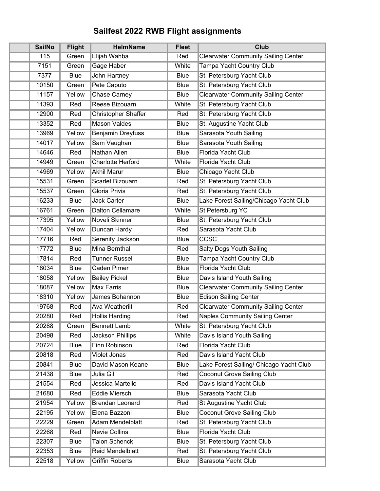## **Sailfest 2022 RWB Flight assignments**

| <b>SailNo</b> | <b>Flight</b> | <b>HelmName</b>            | <b>Fleet</b> | <b>Club</b>                                |
|---------------|---------------|----------------------------|--------------|--------------------------------------------|
| 115           | Green         | Elijah Wahba               | Red          | <b>Clearwater Community Sailing Center</b> |
| 7151          | Green         | Gage Haber                 | White        | <b>Tampa Yacht Country Club</b>            |
| 7377          | <b>Blue</b>   | John Hartney               | <b>Blue</b>  | St. Petersburg Yacht Club                  |
| 10150         | Green         | Pete Caputo                | <b>Blue</b>  | St. Petersburg Yacht Club                  |
| 11157         | Yellow        | <b>Chase Carney</b>        | <b>Blue</b>  | <b>Clearwater Community Sailing Center</b> |
| 11393         | Red           | Reese Bizouarn             | White        | St. Petersburg Yacht Club                  |
| 12900         | Red           | <b>Christopher Shaffer</b> | Red          | St. Petersburg Yacht Club                  |
| 13352         | Red           | <b>Mason Valdes</b>        | <b>Blue</b>  | St. Augustine Yacht Club                   |
| 13969         | Yellow        | <b>Benjamin Dreyfuss</b>   | Blue         | Sarasota Youth Sailing                     |
| 14017         | Yellow        | Sam Vaughan                | <b>Blue</b>  | Sarasota Youth Sailing                     |
| 14646         | Red           | <b>Nathan Allen</b>        | <b>Blue</b>  | Florida Yacht Club                         |
| 14949         | Green         | <b>Charlotte Herford</b>   | White        | Florida Yacht Club                         |
| 14969         | Yellow        | <b>Akhil Marur</b>         | <b>Blue</b>  | Chicago Yacht Club                         |
| 15531         | Green         | <b>Scarlet Bizouarn</b>    | Red          | St. Petersburg Yacht Club                  |
| 15537         | Green         | <b>Gloria Privis</b>       | Red          | St. Petersburg Yacht Club                  |
| 16233         | <b>Blue</b>   | Jack Carter                | <b>Blue</b>  | Lake Forest Sailing/Chicago Yacht Club     |
| 16761         | Green         | <b>Dalton Cellamare</b>    | White        | <b>St Petersburg YC</b>                    |
| 17395         | Yellow        | <b>Noveli Skinner</b>      | Blue         | St. Petersburg Yacht Club                  |
| 17404         | Yellow        | Duncan Hardy               | Red          | Sarasota Yacht Club                        |
| 17716         | Red           | <b>Serenity Jackson</b>    | <b>Blue</b>  | CCSC                                       |
| 17772         | <b>Blue</b>   | <b>Mina Bernthal</b>       | Red          | <b>Salty Dogs Youth Sailing</b>            |
| 17814         | Red           | <b>Tunner Russell</b>      | <b>Blue</b>  | <b>Tampa Yacht Country Club</b>            |
| 18034         | <b>Blue</b>   | <b>Caden Pirner</b>        | Blue         | Florida Yacht Club                         |
| 18058         | Yellow        | <b>Bailey Pickel</b>       | Blue         | Davis Island Youth Sailing                 |
| 18087         | Yellow        | <b>Max Farris</b>          | <b>Blue</b>  | <b>Clearwater Community Sailing Center</b> |
| 18310         | Yellow        | James Bohannon             | <b>Blue</b>  | <b>Edison Sailing Center</b>               |
| 19768         | Red           | <b>Ava Weatherilt</b>      | Red          | <b>Clearwater Community Sailing Center</b> |
| 20280         | Red           | <b>Hollis Harding</b>      | Red          | <b>Naples Community Sailing Center</b>     |
| 20288         | Green         | <b>Bennett Lamb</b>        | White        | St. Petersburg Yacht Club                  |
| 20498         | Red           | <b>Jackson Phillips</b>    | White        | Davis Island Youth Sailing                 |
| 20724         | <b>Blue</b>   | <b>Finn Robinson</b>       | Red          | <b>Florida Yacht Club</b>                  |
| 20818         | Red           | Violet Jonas               | Red          | Davis Island Yacht Club                    |
| 20841         | <b>Blue</b>   | David Mason Keane          | <b>Blue</b>  | Lake Forest Sailing/ Chicago Yacht Club    |
| 21438         | <b>Blue</b>   | Julia Gil                  | Red          | <b>Coconut Grove Sailing Club</b>          |
| 21554         | Red           | Jessica Martello           | Red          | Davis Island Yacht Club                    |
| 21680         | Red           | <b>Eddie Miersch</b>       | <b>Blue</b>  | Sarasota Yacht Club                        |
| 21954         | Yellow        | <b>Brendan Leonard</b>     | Red          | <b>St Augustine Yacht Club</b>             |
| 22195         | Yellow        | Elena Bazzoni              | <b>Blue</b>  | <b>Coconut Grove Sailing Club</b>          |
| 22229         | Green         | <b>Adam Mendelblatt</b>    | Red          | St. Petersburg Yacht Club                  |
| 22268         | Red           | <b>Nevie Collins</b>       | <b>Blue</b>  | Florida Yacht Club                         |
| 22307         | <b>Blue</b>   | <b>Talon Schenck</b>       | Blue         | St. Petersburg Yacht Club                  |
| 22353         | <b>Blue</b>   | <b>Reid Mendelblatt</b>    | Red          | St. Petersburg Yacht Club                  |
| 22518         | Yellow        | <b>Griffin Roberts</b>     | Blue         | Sarasota Yacht Club                        |